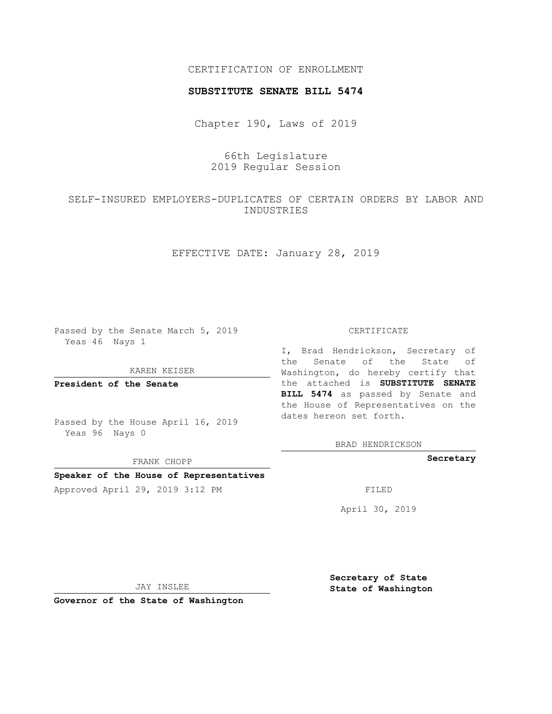## CERTIFICATION OF ENROLLMENT

### **SUBSTITUTE SENATE BILL 5474**

Chapter 190, Laws of 2019

66th Legislature 2019 Regular Session

# SELF-INSURED EMPLOYERS-DUPLICATES OF CERTAIN ORDERS BY LABOR AND INDUSTRIES

EFFECTIVE DATE: January 28, 2019

Passed by the Senate March 5, 2019 Yeas 46 Nays 1

#### KAREN KEISER

**President of the Senate**

Passed by the House April 16, 2019 Yeas 96 Nays 0

FRANK CHOPP

## **Speaker of the House of Representatives**

Approved April 29, 2019 3:12 PM FILED

#### CERTIFICATE

I, Brad Hendrickson, Secretary of the Senate of the State of Washington, do hereby certify that the attached is **SUBSTITUTE SENATE BILL 5474** as passed by Senate and the House of Representatives on the dates hereon set forth.

BRAD HENDRICKSON

**Secretary**

April 30, 2019

JAY INSLEE

**Governor of the State of Washington**

**Secretary of State State of Washington**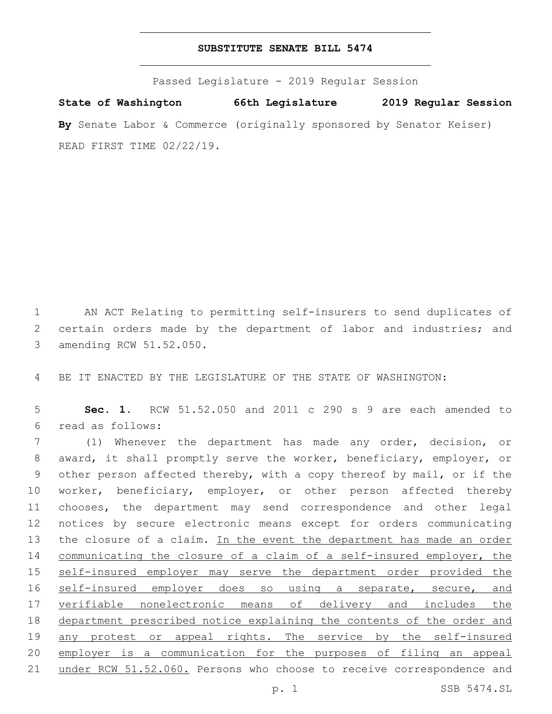### **SUBSTITUTE SENATE BILL 5474**

Passed Legislature - 2019 Regular Session

**State of Washington 66th Legislature 2019 Regular Session By** Senate Labor & Commerce (originally sponsored by Senator Keiser) READ FIRST TIME 02/22/19.

1 AN ACT Relating to permitting self-insurers to send duplicates of 2 certain orders made by the department of labor and industries; and 3 amending RCW 51.52.050.

4 BE IT ENACTED BY THE LEGISLATURE OF THE STATE OF WASHINGTON:

5 **Sec. 1.** RCW 51.52.050 and 2011 c 290 s 9 are each amended to read as follows:6

7 (1) Whenever the department has made any order, decision, or 8 award, it shall promptly serve the worker, beneficiary, employer, or 9 other person affected thereby, with a copy thereof by mail, or if the 10 worker, beneficiary, employer, or other person affected thereby 11 chooses, the department may send correspondence and other legal 12 notices by secure electronic means except for orders communicating 13 the closure of a claim. In the event the department has made an order 14 communicating the closure of a claim of a self-insured employer, the 15 self-insured employer may serve the department order provided the 16 self-insured employer does so using a separate, secure, and 17 verifiable nonelectronic means of delivery and includes the 18 department prescribed notice explaining the contents of the order and 19 any protest or appeal rights. The service by the self-insured 20 employer is a communication for the purposes of filing an appeal 21 under RCW 51.52.060. Persons who choose to receive correspondence and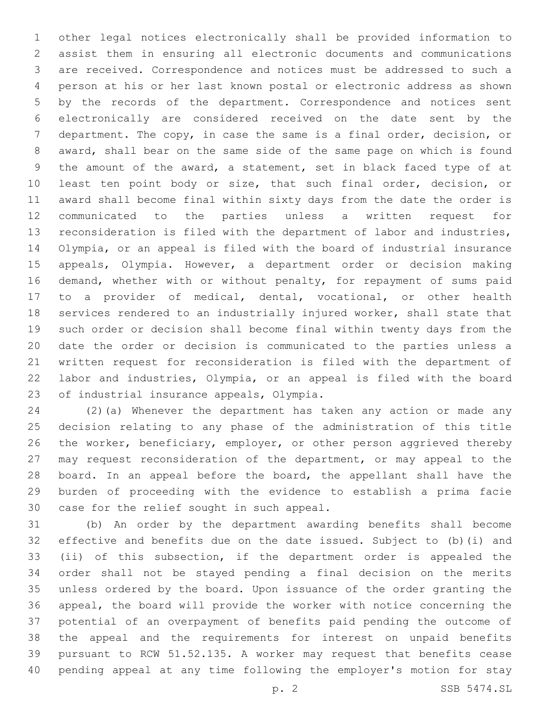other legal notices electronically shall be provided information to assist them in ensuring all electronic documents and communications are received. Correspondence and notices must be addressed to such a person at his or her last known postal or electronic address as shown by the records of the department. Correspondence and notices sent electronically are considered received on the date sent by the department. The copy, in case the same is a final order, decision, or award, shall bear on the same side of the same page on which is found the amount of the award, a statement, set in black faced type of at least ten point body or size, that such final order, decision, or award shall become final within sixty days from the date the order is communicated to the parties unless a written request for reconsideration is filed with the department of labor and industries, Olympia, or an appeal is filed with the board of industrial insurance appeals, Olympia. However, a department order or decision making demand, whether with or without penalty, for repayment of sums paid to a provider of medical, dental, vocational, or other health services rendered to an industrially injured worker, shall state that such order or decision shall become final within twenty days from the date the order or decision is communicated to the parties unless a written request for reconsideration is filed with the department of labor and industries, Olympia, or an appeal is filed with the board 23 of industrial insurance appeals, Olympia.

 (2)(a) Whenever the department has taken any action or made any decision relating to any phase of the administration of this title 26 the worker, beneficiary, employer, or other person aggrieved thereby may request reconsideration of the department, or may appeal to the 28 board. In an appeal before the board, the appellant shall have the burden of proceeding with the evidence to establish a prima facie 30 case for the relief sought in such appeal.

 (b) An order by the department awarding benefits shall become effective and benefits due on the date issued. Subject to (b)(i) and (ii) of this subsection, if the department order is appealed the order shall not be stayed pending a final decision on the merits unless ordered by the board. Upon issuance of the order granting the appeal, the board will provide the worker with notice concerning the potential of an overpayment of benefits paid pending the outcome of the appeal and the requirements for interest on unpaid benefits pursuant to RCW 51.52.135. A worker may request that benefits cease pending appeal at any time following the employer's motion for stay

p. 2 SSB 5474.SL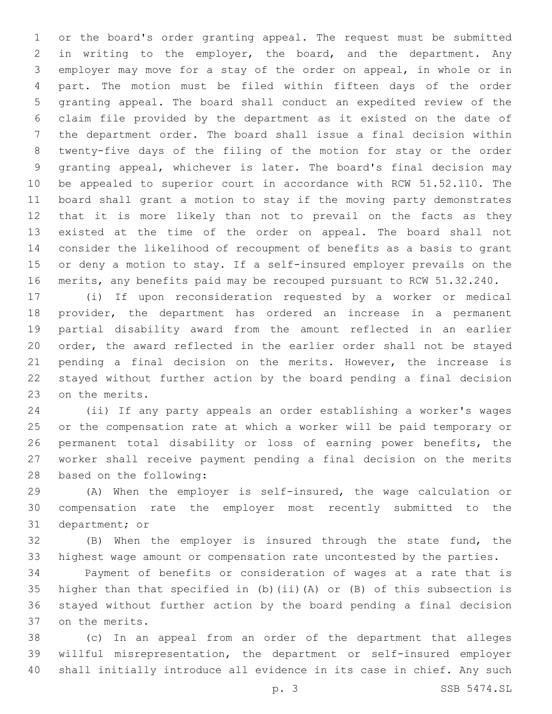or the board's order granting appeal. The request must be submitted in writing to the employer, the board, and the department. Any employer may move for a stay of the order on appeal, in whole or in part. The motion must be filed within fifteen days of the order granting appeal. The board shall conduct an expedited review of the claim file provided by the department as it existed on the date of the department order. The board shall issue a final decision within twenty-five days of the filing of the motion for stay or the order granting appeal, whichever is later. The board's final decision may be appealed to superior court in accordance with RCW 51.52.110. The board shall grant a motion to stay if the moving party demonstrates that it is more likely than not to prevail on the facts as they existed at the time of the order on appeal. The board shall not consider the likelihood of recoupment of benefits as a basis to grant or deny a motion to stay. If a self-insured employer prevails on the merits, any benefits paid may be recouped pursuant to RCW 51.32.240.

 (i) If upon reconsideration requested by a worker or medical provider, the department has ordered an increase in a permanent partial disability award from the amount reflected in an earlier order, the award reflected in the earlier order shall not be stayed pending a final decision on the merits. However, the increase is stayed without further action by the board pending a final decision 23 on the merits.

 (ii) If any party appeals an order establishing a worker's wages or the compensation rate at which a worker will be paid temporary or permanent total disability or loss of earning power benefits, the worker shall receive payment pending a final decision on the merits 28 based on the following:

 (A) When the employer is self-insured, the wage calculation or compensation rate the employer most recently submitted to the 31 department; or

 (B) When the employer is insured through the state fund, the highest wage amount or compensation rate uncontested by the parties.

 Payment of benefits or consideration of wages at a rate that is higher than that specified in (b)(ii)(A) or (B) of this subsection is stayed without further action by the board pending a final decision 37 on the merits.

 (c) In an appeal from an order of the department that alleges willful misrepresentation, the department or self-insured employer shall initially introduce all evidence in its case in chief. Any such